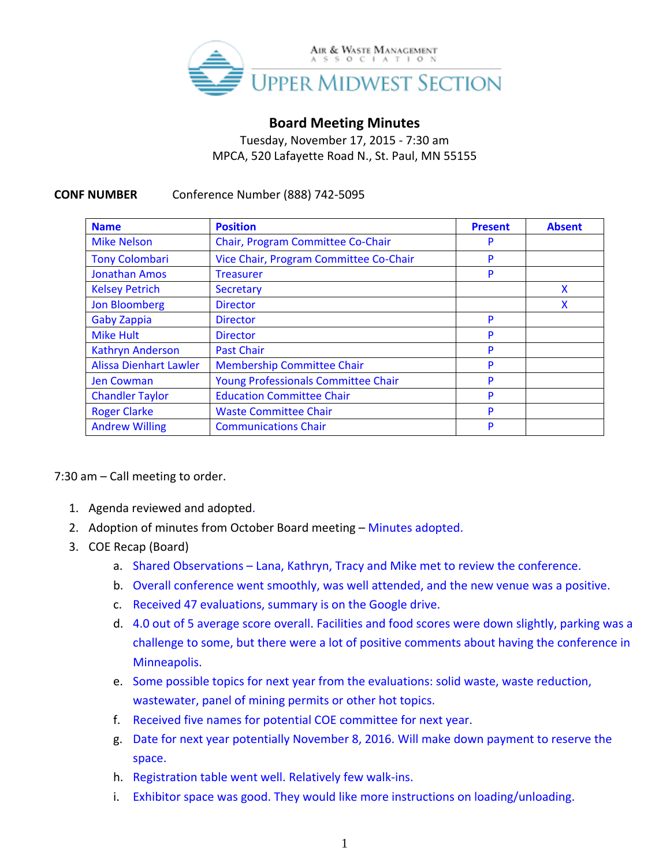

## **Board Meeting Minutes**

Tuesday, November 17, 2015 - 7:30 am MPCA, 520 Lafayette Road N., St. Paul, MN 55155

## **CONF NUMBER** Conference Number (888) 742-5095

| <b>Name</b>                   | <b>Position</b>                        | <b>Present</b> | <b>Absent</b> |
|-------------------------------|----------------------------------------|----------------|---------------|
| <b>Mike Nelson</b>            | Chair, Program Committee Co-Chair      | P              |               |
| <b>Tony Colombari</b>         | Vice Chair, Program Committee Co-Chair | P              |               |
| <b>Jonathan Amos</b>          | <b>Treasurer</b>                       | P              |               |
| <b>Kelsey Petrich</b>         | <b>Secretary</b>                       |                | x             |
| <b>Jon Bloomberg</b>          | <b>Director</b>                        |                |               |
| <b>Gaby Zappia</b>            | <b>Director</b>                        | P              |               |
| <b>Mike Hult</b>              | <b>Director</b>                        | P              |               |
| <b>Kathryn Anderson</b>       | <b>Past Chair</b>                      | P              |               |
| <b>Alissa Dienhart Lawler</b> | <b>Membership Committee Chair</b>      | P              |               |
| <b>Jen Cowman</b>             | Young Professionals Committee Chair    | P              |               |
| <b>Chandler Taylor</b>        | <b>Education Committee Chair</b>       | P              |               |
| <b>Roger Clarke</b>           | <b>Waste Committee Chair</b>           | P              |               |
| <b>Andrew Willing</b>         | <b>Communications Chair</b>            | P              |               |

7:30 am – Call meeting to order.

- 1. Agenda reviewed and adopted.
- 2. Adoption of minutes from October Board meeting Minutes adopted.
- 3. COE Recap (Board)
	- a. Shared Observations Lana, Kathryn, Tracy and Mike met to review the conference.
	- b. Overall conference went smoothly, was well attended, and the new venue was a positive.
	- c. Received 47 evaluations, summary is on the Google drive.
	- d. 4.0 out of 5 average score overall. Facilities and food scores were down slightly, parking was a challenge to some, but there were a lot of positive comments about having the conference in Minneapolis.
	- e. Some possible topics for next year from the evaluations: solid waste, waste reduction, wastewater, panel of mining permits or other hot topics.
	- f. Received five names for potential COE committee for next year.
	- g. Date for next year potentially November 8, 2016. Will make down payment to reserve the space.
	- h. Registration table went well. Relatively few walk-ins.
	- i. Exhibitor space was good. They would like more instructions on loading/unloading.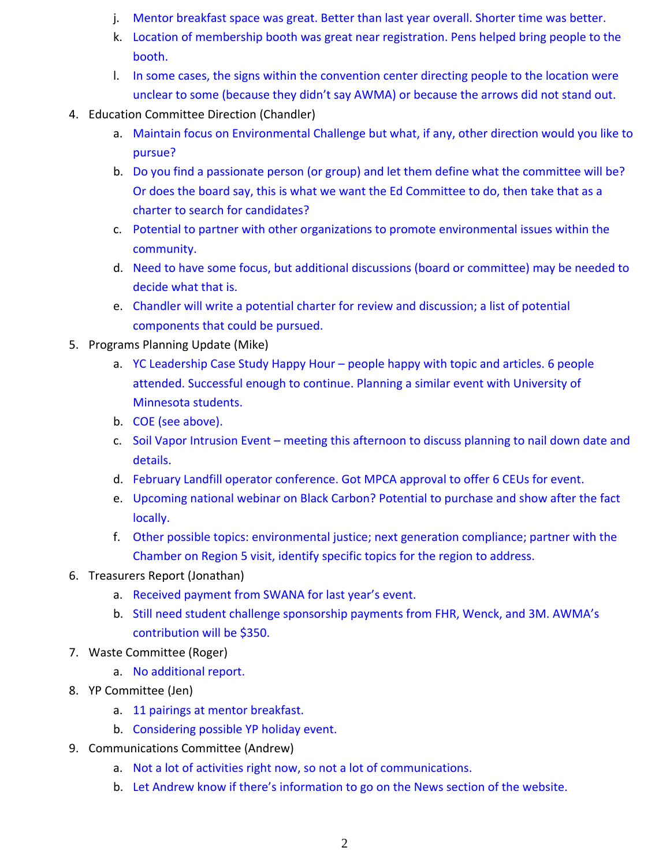- j. Mentor breakfast space was great. Better than last year overall. Shorter time was better.
- k. Location of membership booth was great near registration. Pens helped bring people to the booth.
- l. In some cases, the signs within the convention center directing people to the location were unclear to some (because they didn't say AWMA) or because the arrows did not stand out.
- 4. Education Committee Direction (Chandler)
	- a. Maintain focus on Environmental Challenge but what, if any, other direction would you like to pursue?
	- b. Do you find a passionate person (or group) and let them define what the committee will be? Or does the board say, this is what we want the Ed Committee to do, then take that as a charter to search for candidates?
	- c. Potential to partner with other organizations to promote environmental issues within the community.
	- d. Need to have some focus, but additional discussions (board or committee) may be needed to decide what that is.
	- e. Chandler will write a potential charter for review and discussion; a list of potential components that could be pursued.
- 5. Programs Planning Update (Mike)
	- a. YC Leadership Case Study Happy Hour people happy with topic and articles. 6 people attended. Successful enough to continue. Planning a similar event with University of Minnesota students.
	- b. COE (see above).
	- c. Soil Vapor Intrusion Event meeting this afternoon to discuss planning to nail down date and details.
	- d. February Landfill operator conference. Got MPCA approval to offer 6 CEUs for event.
	- e. Upcoming national webinar on Black Carbon? Potential to purchase and show after the fact locally.
	- f. Other possible topics: environmental justice; next generation compliance; partner with the Chamber on Region 5 visit, identify specific topics for the region to address.
- 6. Treasurers Report (Jonathan)
	- a. Received payment from SWANA for last year's event.
	- b. Still need student challenge sponsorship payments from FHR, Wenck, and 3M. AWMA's contribution will be \$350.
- 7. Waste Committee (Roger)
	- a. No additional report.
- 8. YP Committee (Jen)
	- a. 11 pairings at mentor breakfast.
	- b. Considering possible YP holiday event.
- 9. Communications Committee (Andrew)
	- a. Not a lot of activities right now, so not a lot of communications.
	- b. Let Andrew know if there's information to go on the News section of the website.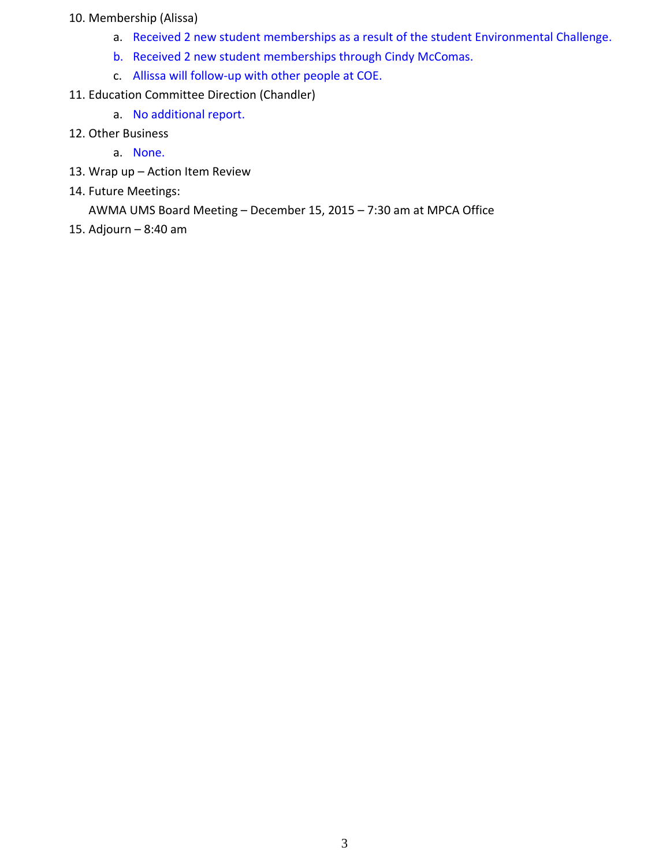## 10. Membership (Alissa)

- a. Received 2 new student memberships as a result of the student Environmental Challenge.
- b. Received 2 new student memberships through Cindy McComas.
- c. Allissa will follow-up with other people at COE.
- 11. Education Committee Direction (Chandler)
	- a. No additional report.
- 12. Other Business
	- a. None.
- 13. Wrap up Action Item Review
- 14. Future Meetings:

AWMA UMS Board Meeting – December 15, 2015 – 7:30 am at MPCA Office

15. Adjourn – 8:40 am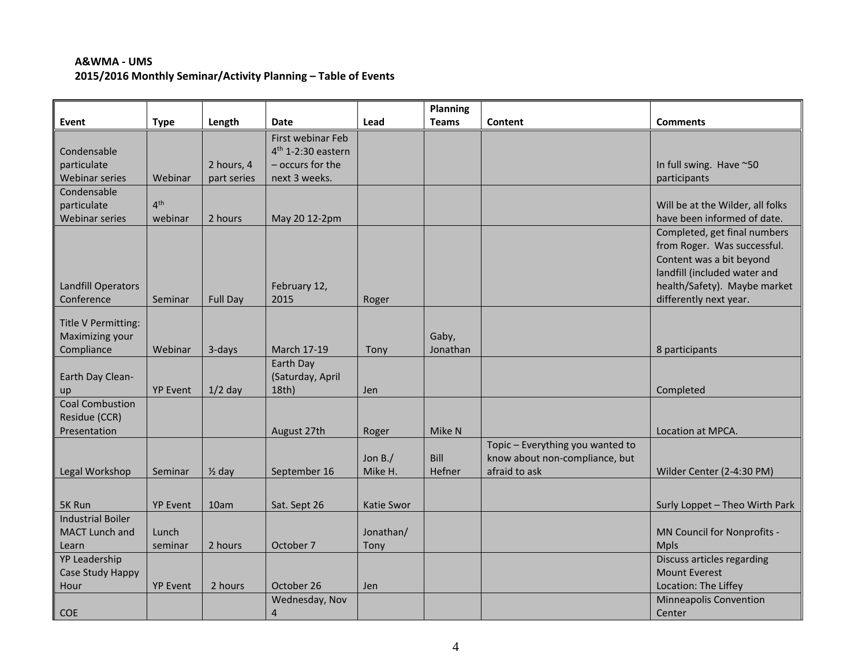## **A&WMA - UMS 2015/2016 Monthly Seminar/Activity Planning – Table of Events**

|                                         |                 |                   |                      |            | Planning     |                                  |                                                                                                                                                                                   |
|-----------------------------------------|-----------------|-------------------|----------------------|------------|--------------|----------------------------------|-----------------------------------------------------------------------------------------------------------------------------------------------------------------------------------|
| Event                                   | <b>Type</b>     | Length            | <b>Date</b>          | Lead       | <b>Teams</b> | Content                          | <b>Comments</b>                                                                                                                                                                   |
|                                         |                 |                   | First webinar Feb    |            |              |                                  |                                                                                                                                                                                   |
| Condensable                             |                 |                   | $4th$ 1-2:30 eastern |            |              |                                  |                                                                                                                                                                                   |
| particulate                             |                 | 2 hours, 4        | - occurs for the     |            |              |                                  | In full swing. Have ~50                                                                                                                                                           |
| Webinar series                          | Webinar         | part series       | next 3 weeks.        |            |              |                                  | participants                                                                                                                                                                      |
| Condensable                             |                 |                   |                      |            |              |                                  |                                                                                                                                                                                   |
| particulate                             | 4 <sup>th</sup> |                   |                      |            |              |                                  | Will be at the Wilder, all folks                                                                                                                                                  |
| <b>Webinar series</b>                   | webinar         | 2 hours           | May 20 12-2pm        |            |              |                                  | have been informed of date.                                                                                                                                                       |
| <b>Landfill Operators</b><br>Conference | Seminar         | <b>Full Day</b>   | February 12,<br>2015 | Roger      |              |                                  | Completed, get final numbers<br>from Roger. Was successful.<br>Content was a bit beyond<br>landfill (included water and<br>health/Safety). Maybe market<br>differently next year. |
|                                         |                 |                   |                      |            |              |                                  |                                                                                                                                                                                   |
| Title V Permitting:                     |                 |                   |                      |            |              |                                  |                                                                                                                                                                                   |
| Maximizing your                         |                 |                   |                      |            | Gaby,        |                                  |                                                                                                                                                                                   |
| Compliance                              | Webinar         | 3-days            | March 17-19          | Tony       | Jonathan     |                                  | 8 participants                                                                                                                                                                    |
|                                         |                 |                   | Earth Day            |            |              |                                  |                                                                                                                                                                                   |
| Earth Day Clean-                        |                 |                   | (Saturday, April     |            |              |                                  |                                                                                                                                                                                   |
| up<br><b>Coal Combustion</b>            | <b>YP Event</b> | $1/2$ day         | 18th)                | <b>Jen</b> |              |                                  | Completed                                                                                                                                                                         |
| Residue (CCR)                           |                 |                   |                      |            |              |                                  |                                                                                                                                                                                   |
| Presentation                            |                 |                   | August 27th          | Roger      | Mike N       |                                  | Location at MPCA.                                                                                                                                                                 |
|                                         |                 |                   |                      |            |              | Topic - Everything you wanted to |                                                                                                                                                                                   |
|                                         |                 |                   |                      | Jon $B$ ./ | Bill         | know about non-compliance, but   |                                                                                                                                                                                   |
| Legal Workshop                          | Seminar         | $\frac{1}{2}$ day | September 16         | Mike H.    | Hefner       | afraid to ask                    | Wilder Center (2-4:30 PM)                                                                                                                                                         |
|                                         |                 |                   |                      |            |              |                                  |                                                                                                                                                                                   |
|                                         |                 |                   |                      |            |              |                                  |                                                                                                                                                                                   |
| 5K Run                                  | <b>YP Event</b> | 10am              | Sat. Sept 26         | Katie Swor |              |                                  | Surly Loppet - Theo Wirth Park                                                                                                                                                    |
| <b>Industrial Boiler</b>                |                 |                   |                      |            |              |                                  |                                                                                                                                                                                   |
| MACT Lunch and                          | Lunch           |                   |                      | Jonathan/  |              |                                  | MN Council for Nonprofits -                                                                                                                                                       |
| Learn                                   | seminar         | 2 hours           | October 7            | Tony       |              |                                  | <b>Mpls</b>                                                                                                                                                                       |
| YP Leadership                           |                 |                   |                      |            |              |                                  | Discuss articles regarding                                                                                                                                                        |
| Case Study Happy                        | <b>YP Event</b> | 2 hours           | October 26           | <b>Jen</b> |              |                                  | <b>Mount Everest</b><br>Location: The Liffey                                                                                                                                      |
| Hour                                    |                 |                   |                      |            |              |                                  |                                                                                                                                                                                   |
|                                         |                 |                   | Wednesday, Nov       |            |              |                                  | <b>Minneapolis Convention</b>                                                                                                                                                     |
| <b>COE</b>                              |                 |                   | 4                    |            |              |                                  | Center                                                                                                                                                                            |